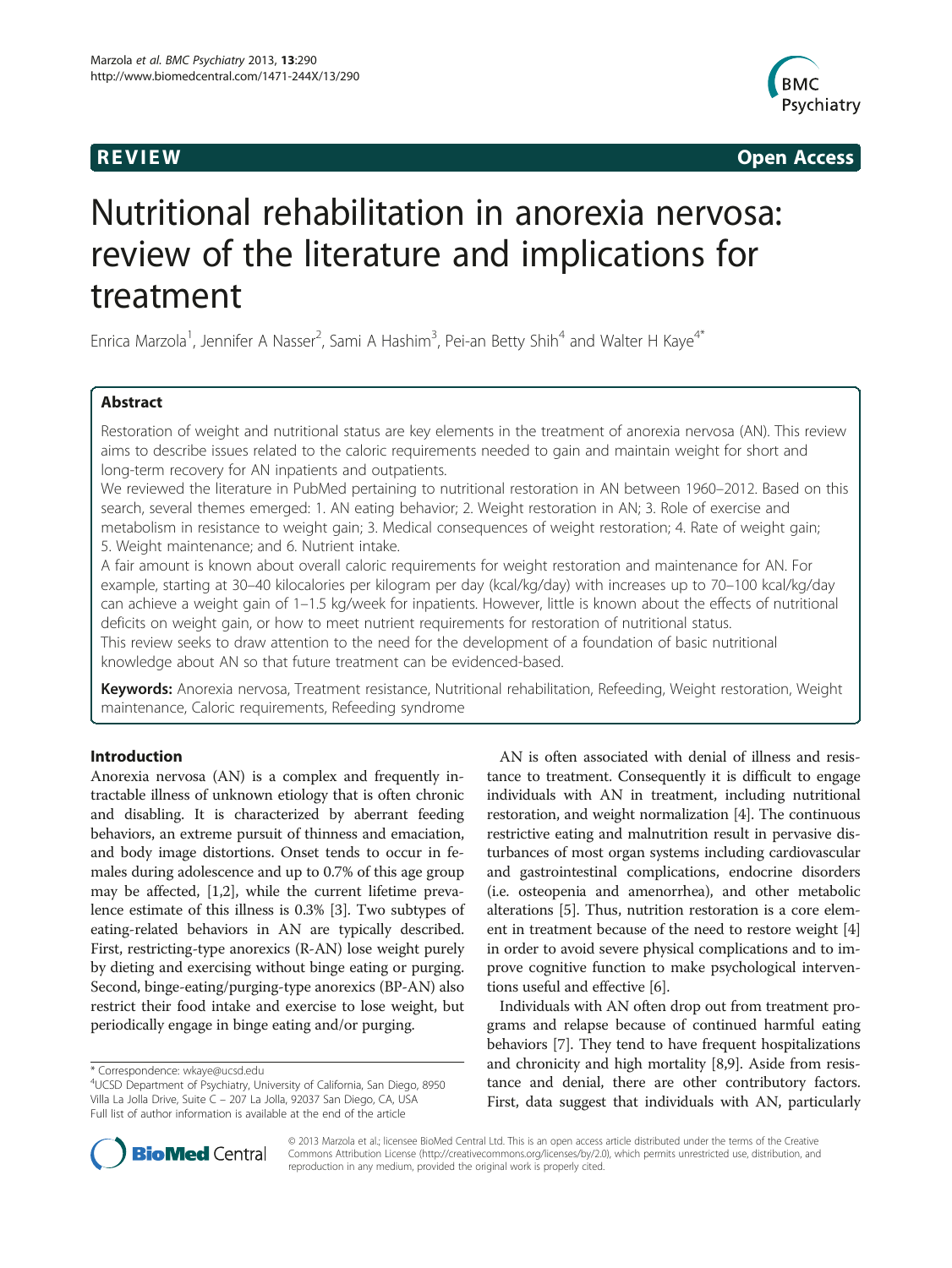

**REVIEW REVIEW CONSTRUCTER ACCESS** 

# Nutritional rehabilitation in anorexia nervosa: review of the literature and implications for treatment

Enrica Marzola<sup>1</sup>, Jennifer A Nasser<sup>2</sup>, Sami A Hashim<sup>3</sup>, Pei-an Betty Shih<sup>4</sup> and Walter H Kaye<sup>4\*</sup>

# Abstract

Restoration of weight and nutritional status are key elements in the treatment of anorexia nervosa (AN). This review aims to describe issues related to the caloric requirements needed to gain and maintain weight for short and long-term recovery for AN inpatients and outpatients.

We reviewed the literature in PubMed pertaining to nutritional restoration in AN between 1960–2012. Based on this search, several themes emerged: 1. AN eating behavior; 2. Weight restoration in AN; 3. Role of exercise and metabolism in resistance to weight gain; 3. Medical consequences of weight restoration; 4. Rate of weight gain; 5. Weight maintenance; and 6. Nutrient intake.

A fair amount is known about overall caloric requirements for weight restoration and maintenance for AN. For example, starting at 30–40 kilocalories per kilogram per day (kcal/kg/day) with increases up to 70–100 kcal/kg/day can achieve a weight gain of 1–1.5 kg/week for inpatients. However, little is known about the effects of nutritional deficits on weight gain, or how to meet nutrient requirements for restoration of nutritional status. This review seeks to draw attention to the need for the development of a foundation of basic nutritional knowledge about AN so that future treatment can be evidenced-based.

Keywords: Anorexia nervosa, Treatment resistance, Nutritional rehabilitation, Refeeding, Weight restoration, Weight maintenance, Caloric requirements, Refeeding syndrome

# Introduction

Anorexia nervosa (AN) is a complex and frequently intractable illness of unknown etiology that is often chronic and disabling. It is characterized by aberrant feeding behaviors, an extreme pursuit of thinness and emaciation, and body image distortions. Onset tends to occur in females during adolescence and up to 0.7% of this age group may be affected, [\[1,2](#page-10-0)], while the current lifetime prevalence estimate of this illness is 0.3% [[3](#page-10-0)]. Two subtypes of eating-related behaviors in AN are typically described. First, restricting-type anorexics (R-AN) lose weight purely by dieting and exercising without binge eating or purging. Second, binge-eating/purging-type anorexics (BP-AN) also restrict their food intake and exercise to lose weight, but periodically engage in binge eating and/or purging.

AN is often associated with denial of illness and resistance to treatment. Consequently it is difficult to engage individuals with AN in treatment, including nutritional restoration, and weight normalization [\[4\]](#page-10-0). The continuous restrictive eating and malnutrition result in pervasive disturbances of most organ systems including cardiovascular and gastrointestinal complications, endocrine disorders (i.e. osteopenia and amenorrhea), and other metabolic alterations [[5\]](#page-10-0). Thus, nutrition restoration is a core element in treatment because of the need to restore weight [[4](#page-10-0)] in order to avoid severe physical complications and to improve cognitive function to make psychological interventions useful and effective [\[6](#page-10-0)].

Individuals with AN often drop out from treatment programs and relapse because of continued harmful eating behaviors [\[7\]](#page-10-0). They tend to have frequent hospitalizations and chronicity and high mortality [\[8,9](#page-10-0)]. Aside from resistance and denial, there are other contributory factors. First, data suggest that individuals with AN, particularly



© 2013 Marzola et al.; licensee BioMed Central Ltd. This is an open access article distributed under the terms of the Creative Commons Attribution License [\(http://creativecommons.org/licenses/by/2.0\)](http://creativecommons.org/licenses/by/2.0), which permits unrestricted use, distribution, and reproduction in any medium, provided the original work is properly cited.

<sup>\*</sup> Correspondence: [wkaye@ucsd.edu](mailto:wkaye@ucsd.edu) <sup>4</sup>

UCSD Department of Psychiatry, University of California, San Diego, 8950 Villa La Jolla Drive, Suite C – 207 La Jolla, 92037 San Diego, CA, USA Full list of author information is available at the end of the article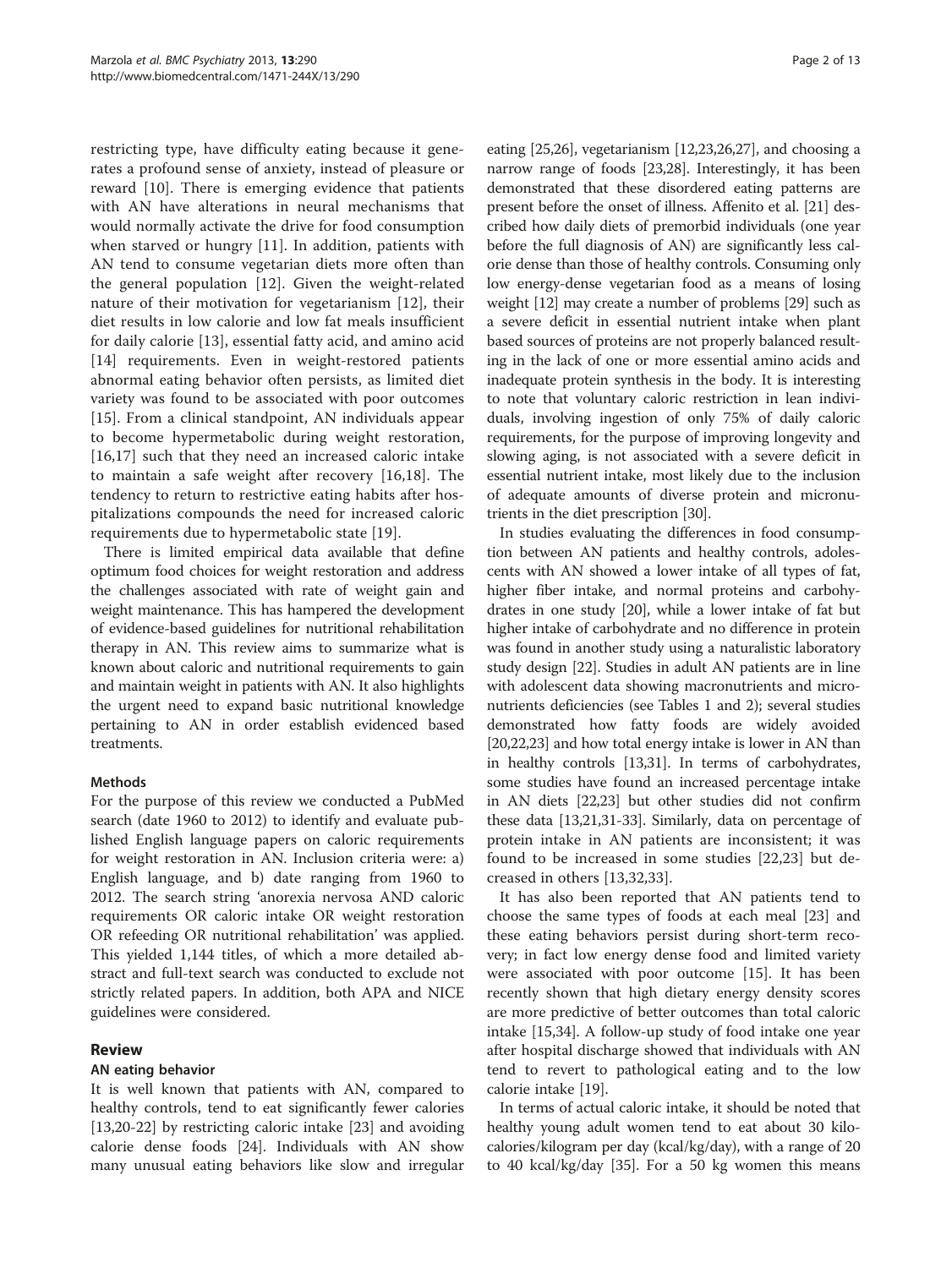restricting type, have difficulty eating because it generates a profound sense of anxiety, instead of pleasure or reward [\[10](#page-10-0)]. There is emerging evidence that patients with AN have alterations in neural mechanisms that would normally activate the drive for food consumption when starved or hungry [[11\]](#page-10-0). In addition, patients with AN tend to consume vegetarian diets more often than the general population [[12](#page-10-0)]. Given the weight-related nature of their motivation for vegetarianism [[12\]](#page-10-0), their diet results in low calorie and low fat meals insufficient for daily calorie [\[13](#page-10-0)], essential fatty acid, and amino acid [[14\]](#page-10-0) requirements. Even in weight-restored patients abnormal eating behavior often persists, as limited diet variety was found to be associated with poor outcomes [[15\]](#page-10-0). From a clinical standpoint, AN individuals appear to become hypermetabolic during weight restoration, [[16,17](#page-10-0)] such that they need an increased caloric intake to maintain a safe weight after recovery [[16,18\]](#page-10-0). The tendency to return to restrictive eating habits after hospitalizations compounds the need for increased caloric requirements due to hypermetabolic state [[19\]](#page-10-0).

There is limited empirical data available that define optimum food choices for weight restoration and address the challenges associated with rate of weight gain and weight maintenance. This has hampered the development of evidence-based guidelines for nutritional rehabilitation therapy in AN. This review aims to summarize what is known about caloric and nutritional requirements to gain and maintain weight in patients with AN. It also highlights the urgent need to expand basic nutritional knowledge pertaining to AN in order establish evidenced based treatments.

# Methods

For the purpose of this review we conducted a PubMed search (date 1960 to 2012) to identify and evaluate published English language papers on caloric requirements for weight restoration in AN. Inclusion criteria were: a) English language, and b) date ranging from 1960 to 2012. The search string 'anorexia nervosa AND caloric requirements OR caloric intake OR weight restoration OR refeeding OR nutritional rehabilitation' was applied. This yielded 1,144 titles, of which a more detailed abstract and full-text search was conducted to exclude not strictly related papers. In addition, both APA and NICE guidelines were considered.

# Review

# AN eating behavior

It is well known that patients with AN, compared to healthy controls, tend to eat significantly fewer calories [[13,20-22\]](#page-10-0) by restricting caloric intake [\[23](#page-10-0)] and avoiding calorie dense foods [[24](#page-10-0)]. Individuals with AN show many unusual eating behaviors like slow and irregular

eating [[25](#page-10-0),[26](#page-10-0)], vegetarianism [\[12,23](#page-10-0),[26,27\]](#page-10-0), and choosing a narrow range of foods [\[23,](#page-10-0)[28\]](#page-11-0). Interestingly, it has been demonstrated that these disordered eating patterns are present before the onset of illness. Affenito et al. [\[21\]](#page-10-0) described how daily diets of premorbid individuals (one year before the full diagnosis of AN) are significantly less calorie dense than those of healthy controls. Consuming only low energy-dense vegetarian food as a means of losing weight [\[12\]](#page-10-0) may create a number of problems [[29](#page-11-0)] such as a severe deficit in essential nutrient intake when plant based sources of proteins are not properly balanced resulting in the lack of one or more essential amino acids and inadequate protein synthesis in the body. It is interesting to note that voluntary caloric restriction in lean individuals, involving ingestion of only 75% of daily caloric requirements, for the purpose of improving longevity and slowing aging, is not associated with a severe deficit in essential nutrient intake, most likely due to the inclusion of adequate amounts of diverse protein and micronutrients in the diet prescription [\[30\]](#page-11-0).

In studies evaluating the differences in food consumption between AN patients and healthy controls, adolescents with AN showed a lower intake of all types of fat, higher fiber intake, and normal proteins and carbohydrates in one study [\[20\]](#page-10-0), while a lower intake of fat but higher intake of carbohydrate and no difference in protein was found in another study using a naturalistic laboratory study design [\[22\]](#page-10-0). Studies in adult AN patients are in line with adolescent data showing macronutrients and micronutrients deficiencies (see Tables [1](#page-2-0) and [2\)](#page-2-0); several studies demonstrated how fatty foods are widely avoided [[20](#page-10-0),[22,23\]](#page-10-0) and how total energy intake is lower in AN than in healthy controls [\[13,](#page-10-0)[31\]](#page-11-0). In terms of carbohydrates, some studies have found an increased percentage intake in AN diets [[22,23](#page-10-0)] but other studies did not confirm these data [[13](#page-10-0),[21](#page-10-0)[,31-33](#page-11-0)]. Similarly, data on percentage of protein intake in AN patients are inconsistent; it was found to be increased in some studies [[22,23\]](#page-10-0) but decreased in others [[13](#page-10-0)[,32](#page-11-0),[33\]](#page-11-0).

It has also been reported that AN patients tend to choose the same types of foods at each meal [\[23\]](#page-10-0) and these eating behaviors persist during short-term recovery; in fact low energy dense food and limited variety were associated with poor outcome [[15\]](#page-10-0). It has been recently shown that high dietary energy density scores are more predictive of better outcomes than total caloric intake [[15,](#page-10-0)[34\]](#page-11-0). A follow-up study of food intake one year after hospital discharge showed that individuals with AN tend to revert to pathological eating and to the low calorie intake [[19\]](#page-10-0).

In terms of actual caloric intake, it should be noted that healthy young adult women tend to eat about 30 kilocalories/kilogram per day (kcal/kg/day), with a range of 20 to 40 kcal/kg/day [\[35\]](#page-11-0). For a 50 kg women this means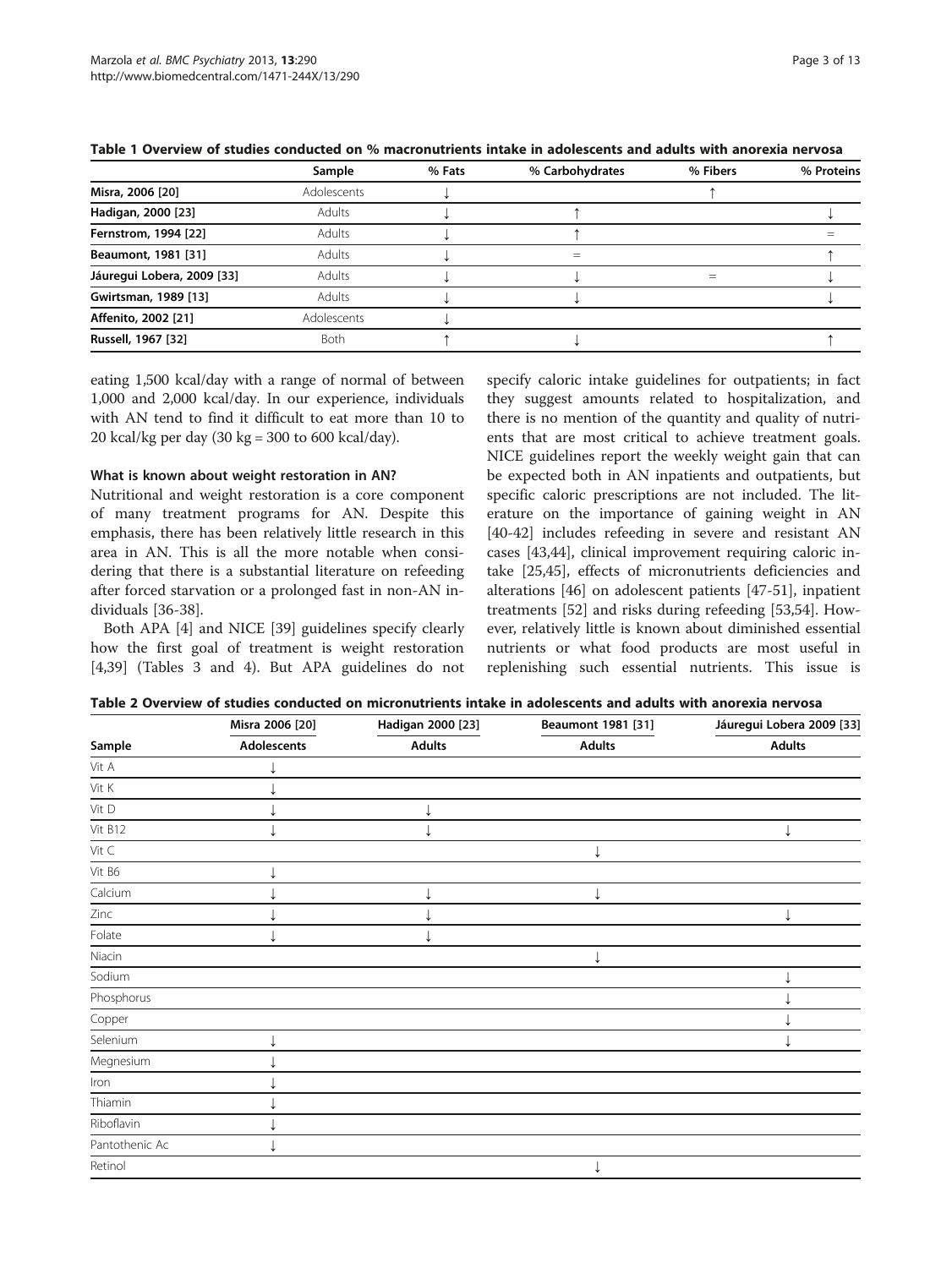|                            | Sample      | % Fats | % Carbohydrates | % Fibers | % Proteins |
|----------------------------|-------------|--------|-----------------|----------|------------|
| Misra, 2006 [20]           | Adolescents |        |                 |          |            |
| Hadigan, 2000 [23]         | Adults      |        |                 |          |            |
| Fernstrom, 1994 [22]       | Adults      |        |                 |          |            |
| Beaumont, 1981 [31]        | Adults      |        | $=$             |          |            |
| Jáuregui Lobera, 2009 [33] | Adults      |        |                 | $=$      |            |
| Gwirtsman, 1989 [13]       | Adults      |        |                 |          |            |
| Affenito, 2002 [21]        | Adolescents |        |                 |          |            |
| Russell, 1967 [32]         | <b>Both</b> |        |                 |          |            |

<span id="page-2-0"></span>Table 1 Overview of studies conducted on % macronutrients intake in adolescents and adults with anorexia nervosa

eating 1,500 kcal/day with a range of normal of between 1,000 and 2,000 kcal/day. In our experience, individuals with AN tend to find it difficult to eat more than 10 to 20 kcal/kg per day (30 kg = 300 to 600 kcal/day).

#### What is known about weight restoration in AN?

Nutritional and weight restoration is a core component of many treatment programs for AN. Despite this emphasis, there has been relatively little research in this area in AN. This is all the more notable when considering that there is a substantial literature on refeeding after forced starvation or a prolonged fast in non-AN individuals [[36-38](#page-11-0)].

Both APA [[4\]](#page-10-0) and NICE [\[39](#page-11-0)] guidelines specify clearly how the first goal of treatment is weight restoration [[4,](#page-10-0)[39\]](#page-11-0) (Tables [3](#page-3-0) and [4\)](#page-3-0). But APA guidelines do not

specify caloric intake guidelines for outpatients; in fact they suggest amounts related to hospitalization, and there is no mention of the quantity and quality of nutrients that are most critical to achieve treatment goals. NICE guidelines report the weekly weight gain that can be expected both in AN inpatients and outpatients, but specific caloric prescriptions are not included. The literature on the importance of gaining weight in AN [[40-42](#page-11-0)] includes refeeding in severe and resistant AN cases [[43](#page-11-0),[44](#page-11-0)], clinical improvement requiring caloric intake [[25,](#page-10-0)[45](#page-11-0)], effects of micronutrients deficiencies and alterations [\[46\]](#page-11-0) on adolescent patients [\[47-51](#page-11-0)], inpatient treatments [[52\]](#page-11-0) and risks during refeeding [\[53,54\]](#page-11-0). However, relatively little is known about diminished essential nutrients or what food products are most useful in replenishing such essential nutrients. This issue is

| Table 2 Overview of studies conducted on micronutrients intake in adolescents and adults with anorexia nervosa |  |
|----------------------------------------------------------------------------------------------------------------|--|
|----------------------------------------------------------------------------------------------------------------|--|

|                           | Misra 2006 [20] | Hadigan 2000 [23] | Beaumont 1981 [31] | Jáuregui Lobera 2009 [33] |
|---------------------------|-----------------|-------------------|--------------------|---------------------------|
| Sample                    | Adolescents     | <b>Adults</b>     | <b>Adults</b>      | <b>Adults</b>             |
| Vit A                     |                 |                   |                    |                           |
| Vit $\mathsf{K}$          |                 |                   |                    |                           |
| $\mathsf{Vit}~\mathsf{D}$ |                 |                   |                    |                           |
| Vit B12                   |                 |                   |                    |                           |
| Vit $\subset$             |                 |                   | ↓                  |                           |
| Vit B6                    |                 |                   |                    |                           |
| Calcium                   |                 |                   |                    |                           |
| Zinc                      |                 |                   |                    |                           |
| Folate                    |                 |                   |                    |                           |
| Niacin                    |                 |                   |                    |                           |
| Sodium                    |                 |                   |                    |                           |
| Phosphorus                |                 |                   |                    |                           |
| Copper                    |                 |                   |                    |                           |
| Selenium                  |                 |                   |                    |                           |
| Megnesium                 |                 |                   |                    |                           |
| Iron                      |                 |                   |                    |                           |
| Thiamin                   |                 |                   |                    |                           |
| Riboflavin                |                 |                   |                    |                           |
| Pantothenic Ac            |                 |                   |                    |                           |
| Retinol                   |                 |                   |                    |                           |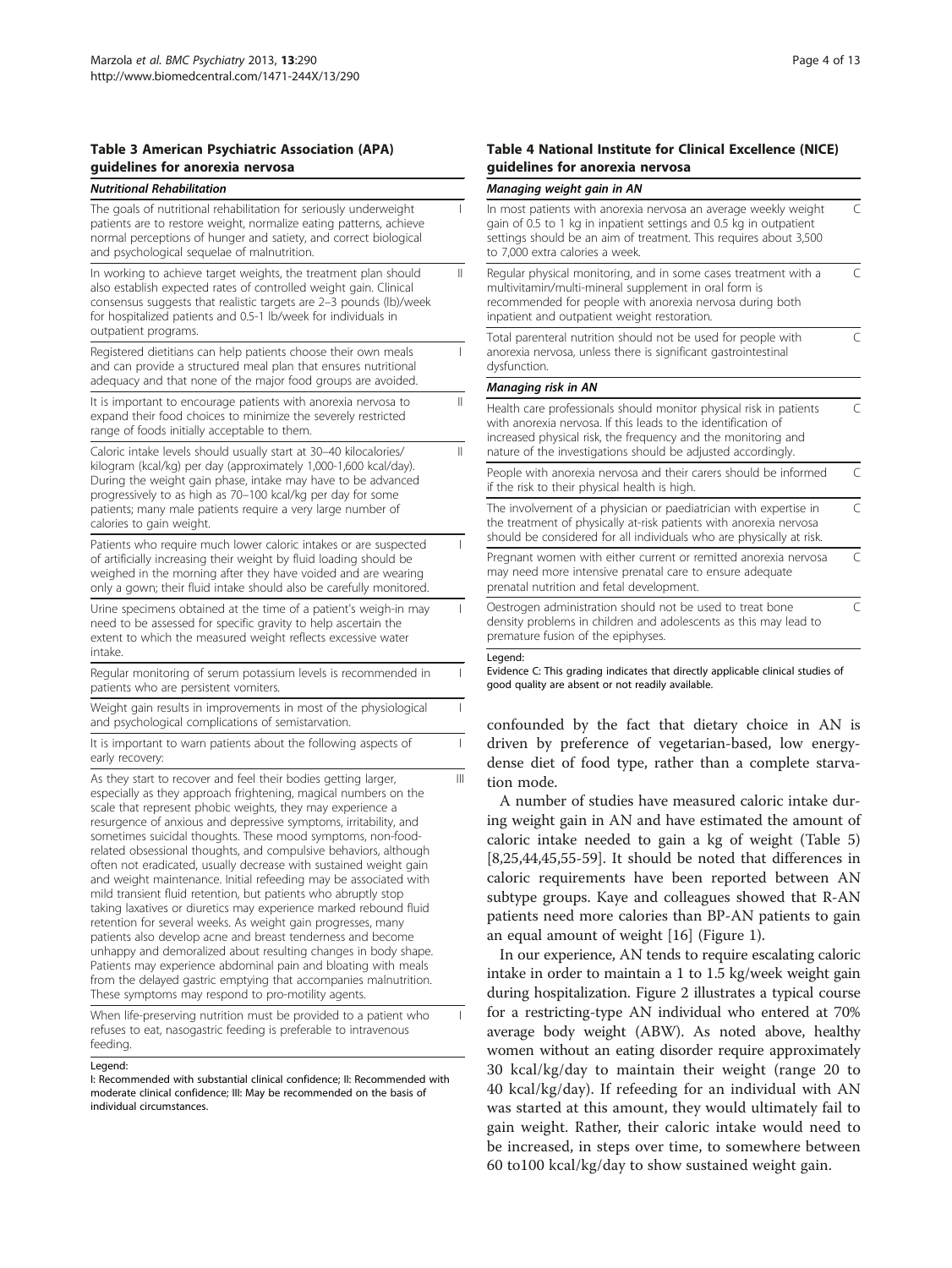#### <span id="page-3-0"></span>Table 3 American Psychiatric Association (APA) guidelines for anorexia nervosa

| <b>Nutritional Rehabilitation</b>                                                                                                                                                                                                                                                                                                                                                                                                                                                                                                                                                                                                                                                                                                                                                                                                                                                                                                                                                                                                                                                   |   |
|-------------------------------------------------------------------------------------------------------------------------------------------------------------------------------------------------------------------------------------------------------------------------------------------------------------------------------------------------------------------------------------------------------------------------------------------------------------------------------------------------------------------------------------------------------------------------------------------------------------------------------------------------------------------------------------------------------------------------------------------------------------------------------------------------------------------------------------------------------------------------------------------------------------------------------------------------------------------------------------------------------------------------------------------------------------------------------------|---|
| The goals of nutritional rehabilitation for seriously underweight<br>patients are to restore weight, normalize eating patterns, achieve<br>normal perceptions of hunger and satiety, and correct biological<br>and psychological sequelae of malnutrition.                                                                                                                                                                                                                                                                                                                                                                                                                                                                                                                                                                                                                                                                                                                                                                                                                          | L |
| In working to achieve target weights, the treatment plan should<br>also establish expected rates of controlled weight gain. Clinical<br>consensus suggests that realistic targets are 2-3 pounds (lb)/week<br>for hospitalized patients and 0.5-1 lb/week for individuals in<br>outpatient programs.                                                                                                                                                                                                                                                                                                                                                                                                                                                                                                                                                                                                                                                                                                                                                                                | Ш |
| Registered dietitians can help patients choose their own meals<br>and can provide a structured meal plan that ensures nutritional<br>adequacy and that none of the major food groups are avoided.                                                                                                                                                                                                                                                                                                                                                                                                                                                                                                                                                                                                                                                                                                                                                                                                                                                                                   | T |
| It is important to encourage patients with anorexia nervosa to<br>expand their food choices to minimize the severely restricted<br>range of foods initially acceptable to them.                                                                                                                                                                                                                                                                                                                                                                                                                                                                                                                                                                                                                                                                                                                                                                                                                                                                                                     | Ш |
| Caloric intake levels should usually start at 30-40 kilocalories/<br>kilogram (kcal/kg) per day (approximately 1,000-1,600 kcal/day).<br>During the weight gain phase, intake may have to be advanced<br>progressively to as high as 70-100 kcal/kg per day for some<br>patients; many male patients require a very large number of<br>calories to gain weight.                                                                                                                                                                                                                                                                                                                                                                                                                                                                                                                                                                                                                                                                                                                     | Ш |
| Patients who require much lower caloric intakes or are suspected<br>of artificially increasing their weight by fluid loading should be<br>weighed in the morning after they have voided and are wearing<br>only a gown; their fluid intake should also be carefully monitored.                                                                                                                                                                                                                                                                                                                                                                                                                                                                                                                                                                                                                                                                                                                                                                                                      | I |
| Urine specimens obtained at the time of a patient's weigh-in may<br>need to be assessed for specific gravity to help ascertain the<br>extent to which the measured weight reflects excessive water<br>intake.                                                                                                                                                                                                                                                                                                                                                                                                                                                                                                                                                                                                                                                                                                                                                                                                                                                                       | T |
| Regular monitoring of serum potassium levels is recommended in<br>patients who are persistent vomiters.                                                                                                                                                                                                                                                                                                                                                                                                                                                                                                                                                                                                                                                                                                                                                                                                                                                                                                                                                                             | T |
| Weight gain results in improvements in most of the physiological<br>and psychological complications of semistarvation.                                                                                                                                                                                                                                                                                                                                                                                                                                                                                                                                                                                                                                                                                                                                                                                                                                                                                                                                                              | T |
| It is important to warn patients about the following aspects of<br>early recovery:                                                                                                                                                                                                                                                                                                                                                                                                                                                                                                                                                                                                                                                                                                                                                                                                                                                                                                                                                                                                  | I |
| As they start to recover and feel their bodies getting larger,<br>especially as they approach frightening, magical numbers on the<br>scale that represent phobic weights, they may experience a<br>resurgence of anxious and depressive symptoms, irritability, and<br>sometimes suicidal thoughts. These mood symptoms, non-food-<br>related obsessional thoughts, and compulsive behaviors, although<br>often not eradicated, usually decrease with sustained weight gain<br>and weight maintenance. Initial refeeding may be associated with<br>mild transient fluid retention, but patients who abruptly stop<br>taking laxatives or diuretics may experience marked rebound fluid<br>retention for several weeks. As weight gain progresses, many<br>patients also develop acne and breast tenderness and become<br>unhappy and demoralized about resulting changes in body shape.<br>Patients may experience abdominal pain and bloating with meals<br>from the delayed gastric emptying that accompanies malnutrition.<br>These symptoms may respond to pro-motility agents. | Ш |
| When life-preserving nutrition must be provided to a patient who                                                                                                                                                                                                                                                                                                                                                                                                                                                                                                                                                                                                                                                                                                                                                                                                                                                                                                                                                                                                                    | L |

When life-preserving nutrition must be provided to a patient who refuses to eat, nasogastric feeding is preferable to intravenous feeding.

#### Legend:

I: Recommended with substantial clinical confidence; II: Recommended with moderate clinical confidence; III: May be recommended on the basis of individual circumstances.

#### Table 4 National Institute for Clinical Excellence (NICE) guidelines for anorexia nervosa

### Managina wejaht gain in AN

| In most patients with anorexia nervosa an average weekly weight<br>gain of 0.5 to 1 kg in inpatient settings and 0.5 kg in outpatient<br>settings should be an aim of treatment. This requires about 3,500<br>to 7,000 extra calories a week.                        | $\subset$ |
|----------------------------------------------------------------------------------------------------------------------------------------------------------------------------------------------------------------------------------------------------------------------|-----------|
| Regular physical monitoring, and in some cases treatment with a<br>multivitamin/multi-mineral supplement in oral form is<br>recommended for people with anorexia nervosa during both<br>inpatient and outpatient weight restoration.                                 | $\subset$ |
| Total parenteral nutrition should not be used for people with<br>anorexia nervosa, unless there is significant gastrointestinal<br>dysfunction.                                                                                                                      | $\subset$ |
| Managing risk in AN                                                                                                                                                                                                                                                  |           |
| Health care professionals should monitor physical risk in patients<br>with anorexia nervosa. If this leads to the identification of<br>increased physical risk, the frequency and the monitoring and<br>nature of the investigations should be adjusted accordingly. | $\subset$ |
| People with anorexia nervosa and their carers should be informed<br>if the risk to their physical health is high.                                                                                                                                                    | $\subset$ |
| The involvement of a physician or paediatrician with expertise in<br>the treatment of physically at-risk patients with anorexia nervosa<br>should be considered for all individuals who are physically at risk.                                                      | $\subset$ |
| Pregnant women with either current or remitted anorexia nervosa<br>may need more intensive prenatal care to ensure adequate<br>prenatal nutrition and fetal development.                                                                                             | $\subset$ |
| Oestrogen administration should not be used to treat bone<br>density problems in children and adolescents as this may lead to<br>premature fusion of the epiphyses.                                                                                                  | $\subset$ |
| Legend:<br>Evidence C: This grading indicates that directly applicable clinical studies of                                                                                                                                                                           |           |

Evidence C: This grading indicates that directly applicable clinical studies of good quality are absent or not readily available.

confounded by the fact that dietary choice in AN is driven by preference of vegetarian-based, low energydense diet of food type, rather than a complete starvation mode.

A number of studies have measured caloric intake during weight gain in AN and have estimated the amount of caloric intake needed to gain a kg of weight (Table [5](#page-4-0)) [[8,25,](#page-10-0)[44,45,55-59](#page-11-0)]. It should be noted that differences in caloric requirements have been reported between AN subtype groups. Kaye and colleagues showed that R-AN patients need more calories than BP-AN patients to gain an equal amount of weight [[16\]](#page-10-0) (Figure [1\)](#page-4-0).

In our experience, AN tends to require escalating caloric intake in order to maintain a 1 to 1.5 kg/week weight gain during hospitalization. Figure [2](#page-5-0) illustrates a typical course for a restricting-type AN individual who entered at 70% average body weight (ABW). As noted above, healthy women without an eating disorder require approximately 30 kcal/kg/day to maintain their weight (range 20 to 40 kcal/kg/day). If refeeding for an individual with AN was started at this amount, they would ultimately fail to gain weight. Rather, their caloric intake would need to be increased, in steps over time, to somewhere between 60 to100 kcal/kg/day to show sustained weight gain.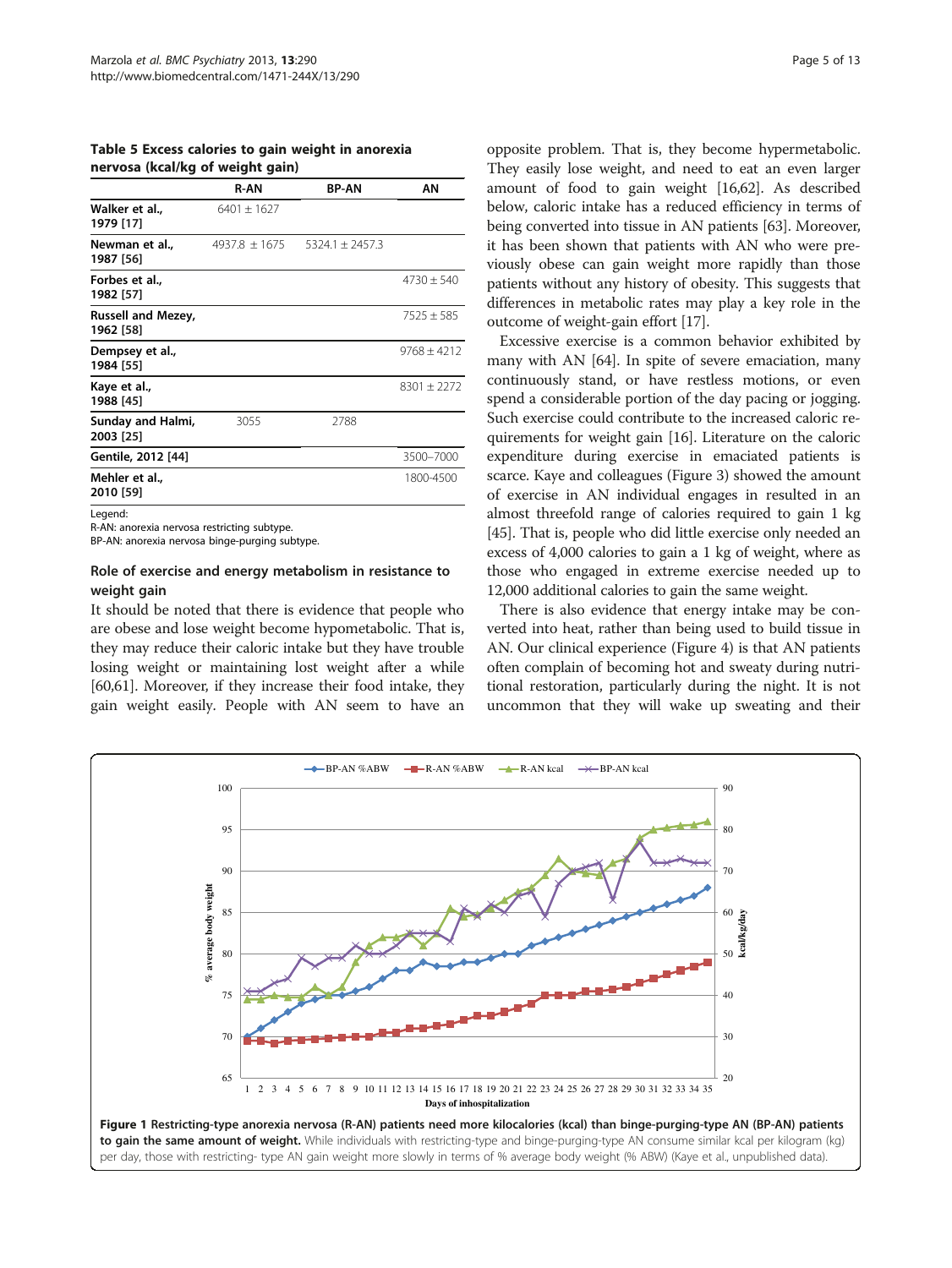<span id="page-4-0"></span>Table 5 Excess calories to gain weight in anorexia nervosa (kcal/kg of weight gain)

|                                        | <b>R-AN</b>       | <b>BP-AN</b>        | AΝ              |
|----------------------------------------|-------------------|---------------------|-----------------|
| Walker et al.,<br>1979 [17]            | $6401 \pm 1627$   |                     |                 |
| Newman et al.,<br>1987 [56]            | $4937.8 \pm 1675$ | $5324.1 \pm 2457.3$ |                 |
| Forbes et al.,<br>1982 [57]            |                   |                     | $4730 \pm 540$  |
| <b>Russell and Mezey,</b><br>1962 [58] |                   |                     | $7525 \pm 585$  |
| Dempsey et al.,<br>1984 [55]           |                   |                     | $9768 \pm 4212$ |
| Kaye et al.,<br>1988 [45]              |                   |                     | $8301 \pm 2272$ |
| Sunday and Halmi,<br>2003 [25]         | 3055              | 2788                |                 |
| Gentile, 2012 [44]                     |                   |                     | 3500-7000       |
| Mehler et al.,<br>2010 [59]            |                   |                     | 1800-4500       |
|                                        |                   |                     |                 |

Legend:

R-AN: anorexia nervosa restricting subtype.

BP-AN: anorexia nervosa binge-purging subtype.

### Role of exercise and energy metabolism in resistance to weight gain

It should be noted that there is evidence that people who are obese and lose weight become hypometabolic. That is, they may reduce their caloric intake but they have trouble losing weight or maintaining lost weight after a while [[60,61](#page-11-0)]. Moreover, if they increase their food intake, they gain weight easily. People with AN seem to have an

opposite problem. That is, they become hypermetabolic. They easily lose weight, and need to eat an even larger amount of food to gain weight [[16](#page-10-0)[,62\]](#page-11-0). As described below, caloric intake has a reduced efficiency in terms of being converted into tissue in AN patients [\[63\]](#page-11-0). Moreover, it has been shown that patients with AN who were previously obese can gain weight more rapidly than those patients without any history of obesity. This suggests that differences in metabolic rates may play a key role in the outcome of weight-gain effort [\[17\]](#page-10-0).

Excessive exercise is a common behavior exhibited by many with AN [\[64\]](#page-11-0). In spite of severe emaciation, many continuously stand, or have restless motions, or even spend a considerable portion of the day pacing or jogging. Such exercise could contribute to the increased caloric requirements for weight gain [\[16\]](#page-10-0). Literature on the caloric expenditure during exercise in emaciated patients is scarce. Kaye and colleagues (Figure [3](#page-5-0)) showed the amount of exercise in AN individual engages in resulted in an almost threefold range of calories required to gain 1 kg [[45](#page-11-0)]. That is, people who did little exercise only needed an excess of 4,000 calories to gain a 1 kg of weight, where as those who engaged in extreme exercise needed up to 12,000 additional calories to gain the same weight.

There is also evidence that energy intake may be converted into heat, rather than being used to build tissue in AN. Our clinical experience (Figure [4](#page-6-0)) is that AN patients often complain of becoming hot and sweaty during nutritional restoration, particularly during the night. It is not uncommon that they will wake up sweating and their

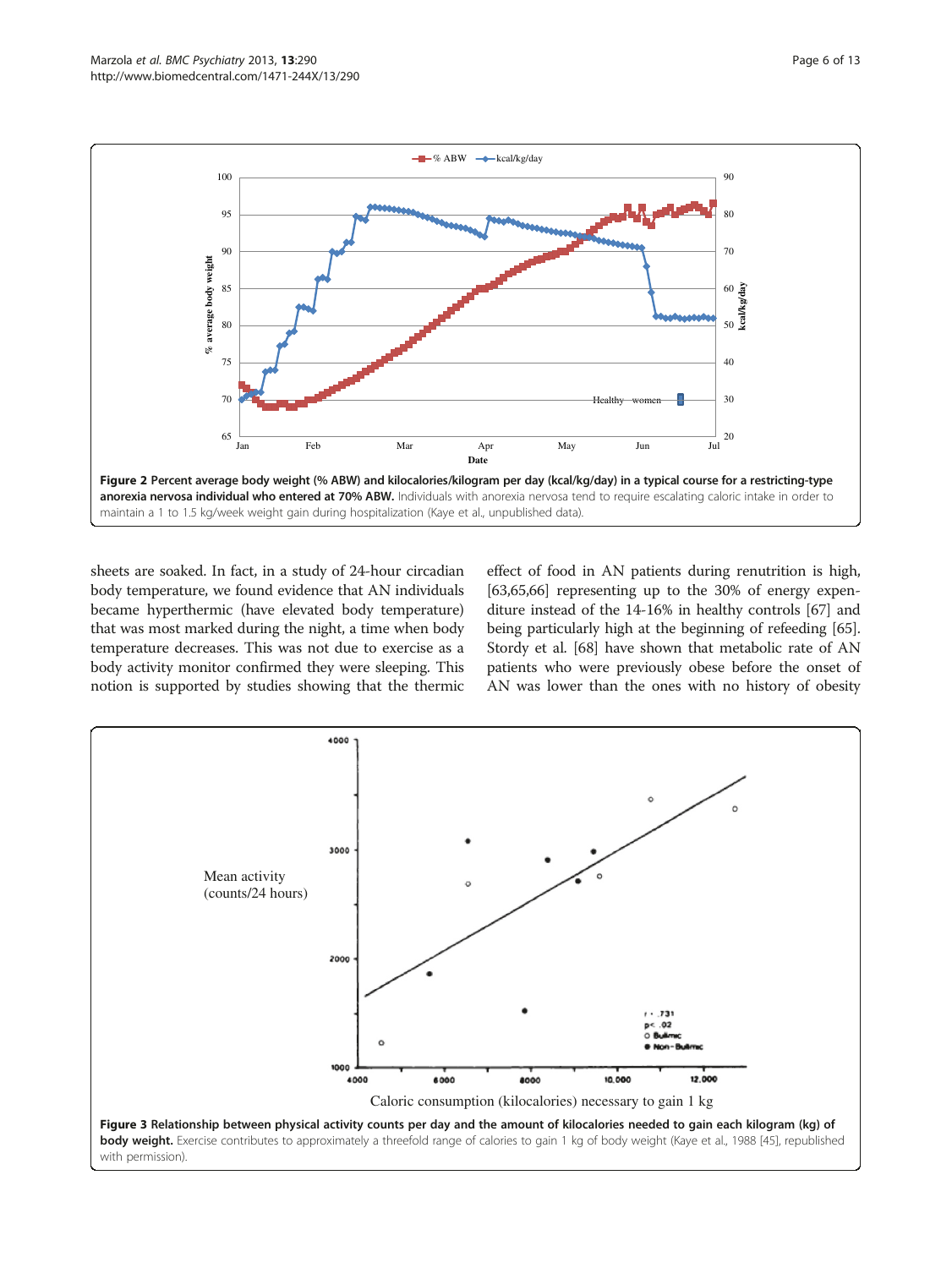<span id="page-5-0"></span>

sheets are soaked. In fact, in a study of 24-hour circadian body temperature, we found evidence that AN individuals became hyperthermic (have elevated body temperature) that was most marked during the night, a time when body temperature decreases. This was not due to exercise as a body activity monitor confirmed they were sleeping. This notion is supported by studies showing that the thermic

effect of food in AN patients during renutrition is high, [[63](#page-11-0),[65,66\]](#page-11-0) representing up to the 30% of energy expenditure instead of the 14-16% in healthy controls [\[67](#page-11-0)] and being particularly high at the beginning of refeeding [[65](#page-11-0)]. Stordy et al. [[68\]](#page-11-0) have shown that metabolic rate of AN patients who were previously obese before the onset of AN was lower than the ones with no history of obesity

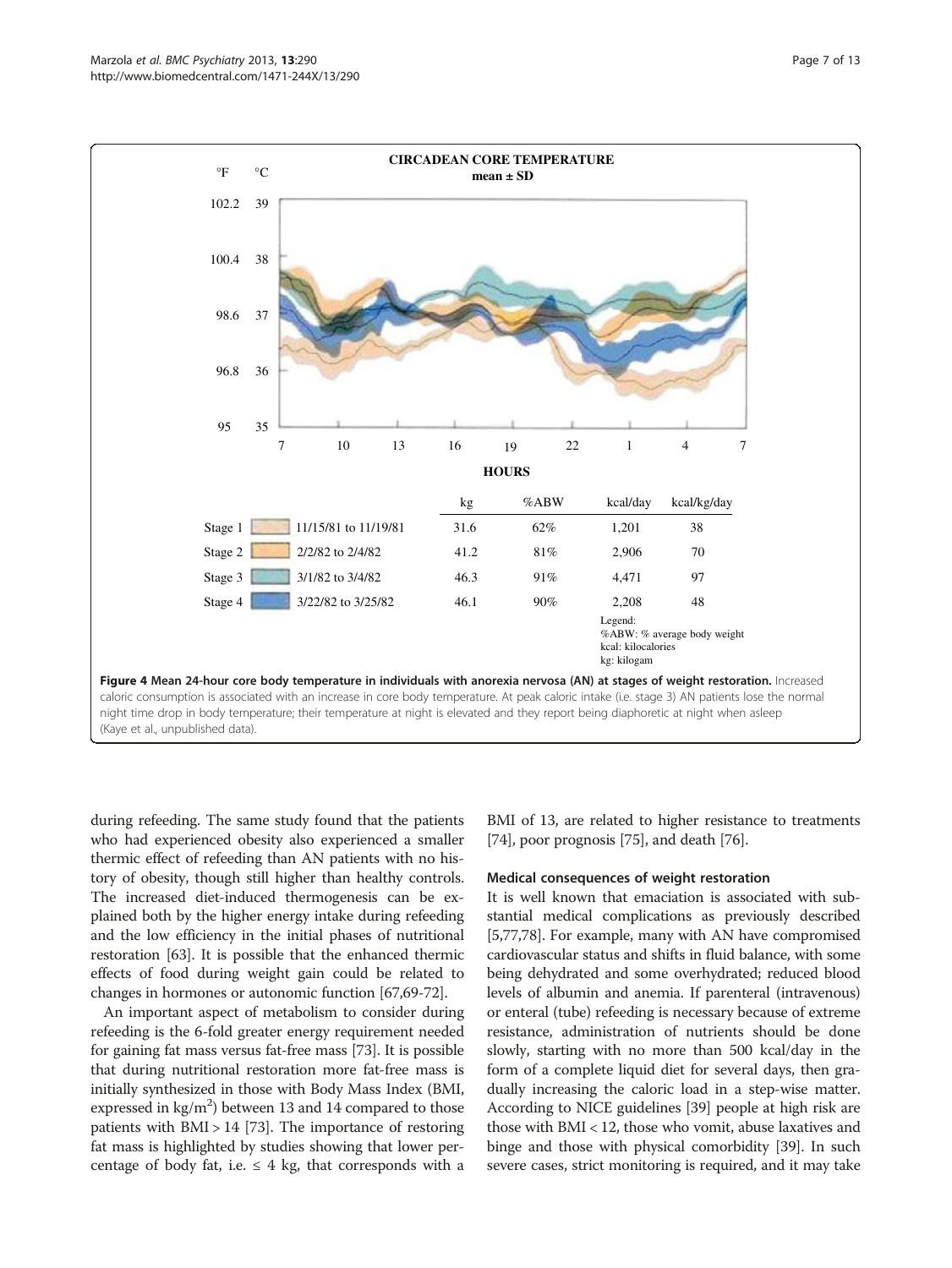<span id="page-6-0"></span>

during refeeding. The same study found that the patients who had experienced obesity also experienced a smaller thermic effect of refeeding than AN patients with no history of obesity, though still higher than healthy controls. The increased diet-induced thermogenesis can be explained both by the higher energy intake during refeeding and the low efficiency in the initial phases of nutritional restoration [\[63\]](#page-11-0). It is possible that the enhanced thermic effects of food during weight gain could be related to changes in hormones or autonomic function [\[67,69-72\]](#page-11-0).

An important aspect of metabolism to consider during refeeding is the 6-fold greater energy requirement needed for gaining fat mass versus fat-free mass [\[73\]](#page-11-0). It is possible that during nutritional restoration more fat-free mass is initially synthesized in those with Body Mass Index (BMI, expressed in  $\text{kg/m}^2$ ) between 13 and 14 compared to those patients with  $BMI > 14$  [\[73\]](#page-11-0). The importance of restoring fat mass is highlighted by studies showing that lower percentage of body fat, i.e.  $\leq 4$  kg, that corresponds with a BMI of 13, are related to higher resistance to treatments [[74](#page-11-0)], poor prognosis [[75\]](#page-11-0), and death [[76](#page-11-0)].

# Medical consequences of weight restoration

It is well known that emaciation is associated with substantial medical complications as previously described [[5,](#page-10-0)[77,78](#page-11-0)]. For example, many with AN have compromised cardiovascular status and shifts in fluid balance, with some being dehydrated and some overhydrated; reduced blood levels of albumin and anemia. If parenteral (intravenous) or enteral (tube) refeeding is necessary because of extreme resistance, administration of nutrients should be done slowly, starting with no more than 500 kcal/day in the form of a complete liquid diet for several days, then gradually increasing the caloric load in a step-wise matter. According to NICE guidelines [\[39\]](#page-11-0) people at high risk are those with BMI < 12, those who vomit, abuse laxatives and binge and those with physical comorbidity [\[39](#page-11-0)]. In such severe cases, strict monitoring is required, and it may take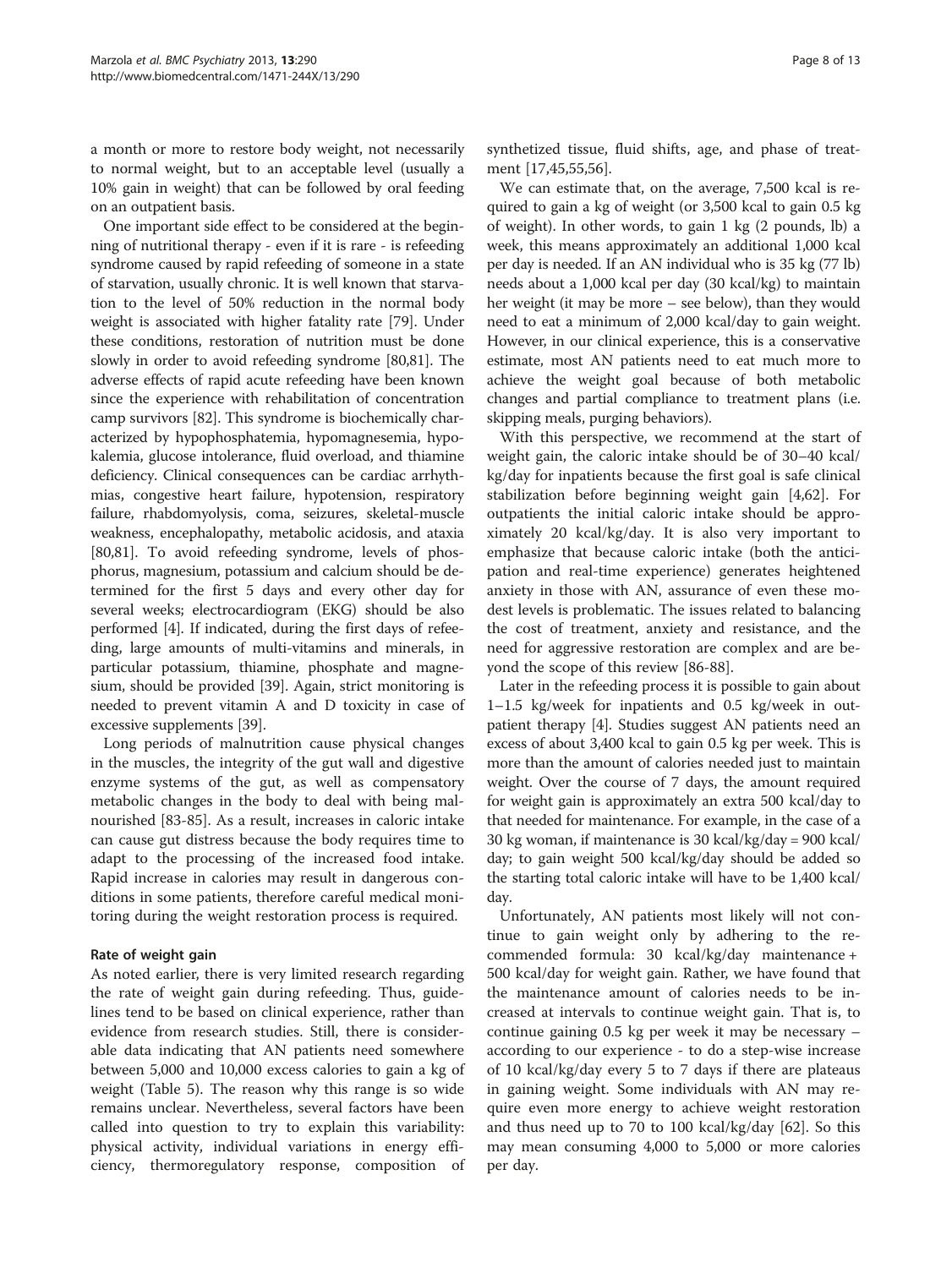a month or more to restore body weight, not necessarily to normal weight, but to an acceptable level (usually a 10% gain in weight) that can be followed by oral feeding on an outpatient basis.

One important side effect to be considered at the beginning of nutritional therapy - even if it is rare - is refeeding syndrome caused by rapid refeeding of someone in a state of starvation, usually chronic. It is well known that starvation to the level of 50% reduction in the normal body weight is associated with higher fatality rate [\[79\]](#page-11-0). Under these conditions, restoration of nutrition must be done slowly in order to avoid refeeding syndrome [[80,81\]](#page-12-0). The adverse effects of rapid acute refeeding have been known since the experience with rehabilitation of concentration camp survivors [\[82](#page-12-0)]. This syndrome is biochemically characterized by hypophosphatemia, hypomagnesemia, hypokalemia, glucose intolerance, fluid overload, and thiamine deficiency. Clinical consequences can be cardiac arrhythmias, congestive heart failure, hypotension, respiratory failure, rhabdomyolysis, coma, seizures, skeletal-muscle weakness, encephalopathy, metabolic acidosis, and ataxia [[80,81](#page-12-0)]. To avoid refeeding syndrome, levels of phosphorus, magnesium, potassium and calcium should be determined for the first 5 days and every other day for several weeks; electrocardiogram (EKG) should be also performed [\[4](#page-10-0)]. If indicated, during the first days of refeeding, large amounts of multi-vitamins and minerals, in particular potassium, thiamine, phosphate and magnesium, should be provided [[39](#page-11-0)]. Again, strict monitoring is needed to prevent vitamin A and D toxicity in case of excessive supplements [[39](#page-11-0)].

Long periods of malnutrition cause physical changes in the muscles, the integrity of the gut wall and digestive enzyme systems of the gut, as well as compensatory metabolic changes in the body to deal with being malnourished [[83-85\]](#page-12-0). As a result, increases in caloric intake can cause gut distress because the body requires time to adapt to the processing of the increased food intake. Rapid increase in calories may result in dangerous conditions in some patients, therefore careful medical monitoring during the weight restoration process is required.

# Rate of weight gain

As noted earlier, there is very limited research regarding the rate of weight gain during refeeding. Thus, guidelines tend to be based on clinical experience, rather than evidence from research studies. Still, there is considerable data indicating that AN patients need somewhere between 5,000 and 10,000 excess calories to gain a kg of weight (Table [5\)](#page-4-0). The reason why this range is so wide remains unclear. Nevertheless, several factors have been called into question to try to explain this variability: physical activity, individual variations in energy efficiency, thermoregulatory response, composition of

synthetized tissue, fluid shifts, age, and phase of treatment [[17,](#page-10-0)[45,55,56\]](#page-11-0).

We can estimate that, on the average, 7,500 kcal is required to gain a kg of weight (or 3,500 kcal to gain 0.5 kg of weight). In other words, to gain 1 kg (2 pounds, lb) a week, this means approximately an additional 1,000 kcal per day is needed. If an AN individual who is 35 kg (77 lb) needs about a 1,000 kcal per day (30 kcal/kg) to maintain her weight (it may be more – see below), than they would need to eat a minimum of 2,000 kcal/day to gain weight. However, in our clinical experience, this is a conservative estimate, most AN patients need to eat much more to achieve the weight goal because of both metabolic changes and partial compliance to treatment plans (i.e. skipping meals, purging behaviors).

With this perspective, we recommend at the start of weight gain, the caloric intake should be of 30–40 kcal/ kg/day for inpatients because the first goal is safe clinical stabilization before beginning weight gain [[4,](#page-10-0)[62](#page-11-0)]. For outpatients the initial caloric intake should be approximately 20 kcal/kg/day. It is also very important to emphasize that because caloric intake (both the anticipation and real-time experience) generates heightened anxiety in those with AN, assurance of even these modest levels is problematic. The issues related to balancing the cost of treatment, anxiety and resistance, and the need for aggressive restoration are complex and are beyond the scope of this review [[86-88\]](#page-12-0).

Later in the refeeding process it is possible to gain about 1–1.5 kg/week for inpatients and 0.5 kg/week in outpatient therapy [\[4\]](#page-10-0). Studies suggest AN patients need an excess of about 3,400 kcal to gain 0.5 kg per week. This is more than the amount of calories needed just to maintain weight. Over the course of 7 days, the amount required for weight gain is approximately an extra 500 kcal/day to that needed for maintenance. For example, in the case of a 30 kg woman, if maintenance is 30 kcal/kg/day = 900 kcal/ day; to gain weight 500 kcal/kg/day should be added so the starting total caloric intake will have to be 1,400 kcal/ day.

Unfortunately, AN patients most likely will not continue to gain weight only by adhering to the recommended formula: 30 kcal/kg/day maintenance + 500 kcal/day for weight gain. Rather, we have found that the maintenance amount of calories needs to be increased at intervals to continue weight gain. That is, to continue gaining 0.5 kg per week it may be necessary – according to our experience - to do a step-wise increase of 10 kcal/kg/day every 5 to 7 days if there are plateaus in gaining weight. Some individuals with AN may require even more energy to achieve weight restoration and thus need up to 70 to 100 kcal/kg/day [\[62](#page-11-0)]. So this may mean consuming 4,000 to 5,000 or more calories per day.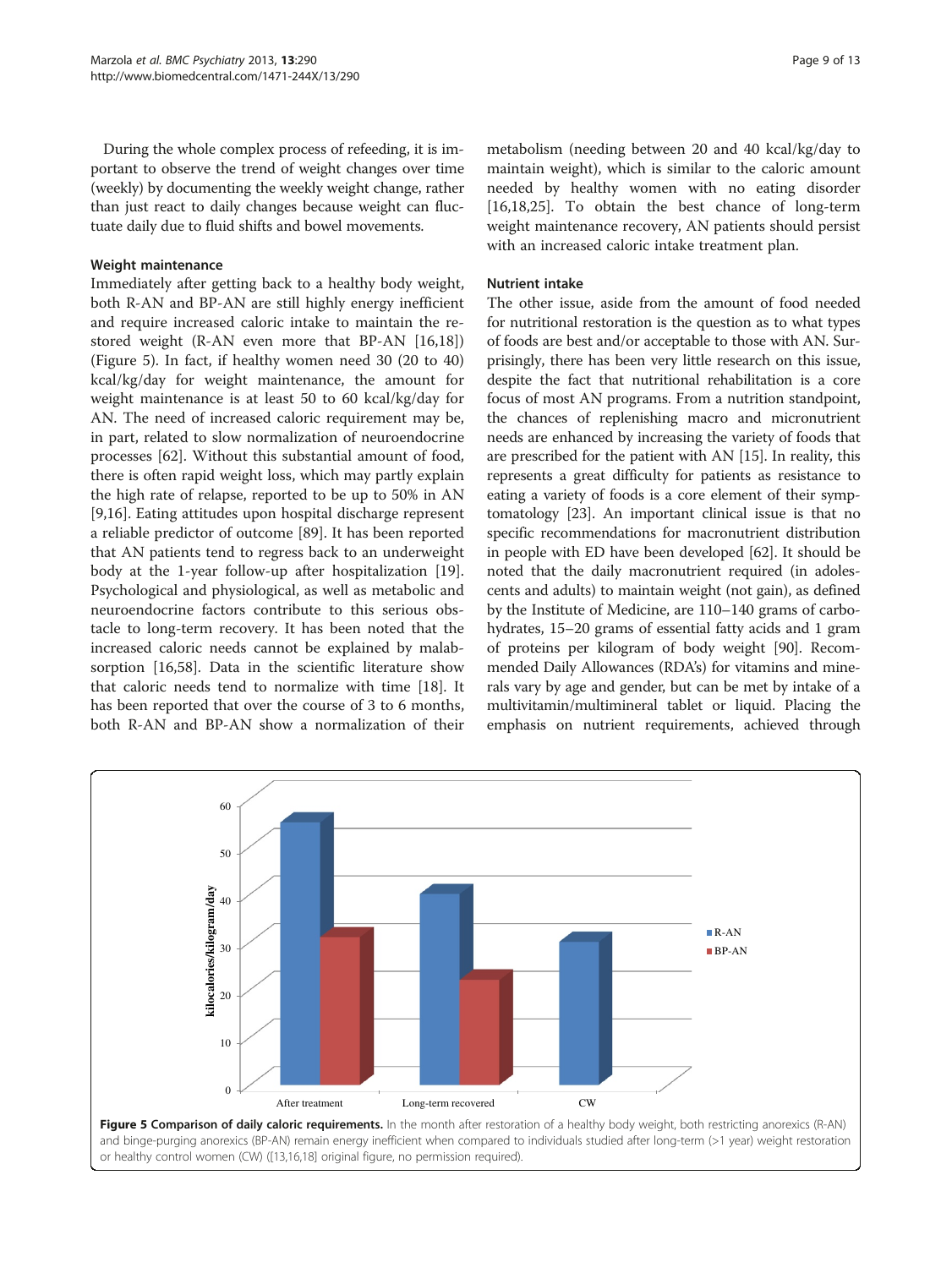During the whole complex process of refeeding, it is important to observe the trend of weight changes over time (weekly) by documenting the weekly weight change, rather than just react to daily changes because weight can fluctuate daily due to fluid shifts and bowel movements.

#### Weight maintenance

Immediately after getting back to a healthy body weight, both R-AN and BP-AN are still highly energy inefficient and require increased caloric intake to maintain the restored weight (R-AN even more that BP-AN [\[16,18](#page-10-0)]) (Figure 5). In fact, if healthy women need 30 (20 to 40) kcal/kg/day for weight maintenance, the amount for weight maintenance is at least 50 to 60 kcal/kg/day for AN. The need of increased caloric requirement may be, in part, related to slow normalization of neuroendocrine processes [[62\]](#page-11-0). Without this substantial amount of food, there is often rapid weight loss, which may partly explain the high rate of relapse, reported to be up to 50% in AN [[9,16\]](#page-10-0). Eating attitudes upon hospital discharge represent a reliable predictor of outcome [[89](#page-12-0)]. It has been reported that AN patients tend to regress back to an underweight body at the 1-year follow-up after hospitalization [\[19](#page-10-0)]. Psychological and physiological, as well as metabolic and neuroendocrine factors contribute to this serious obstacle to long-term recovery. It has been noted that the increased caloric needs cannot be explained by malabsorption [[16,](#page-10-0)[58\]](#page-11-0). Data in the scientific literature show that caloric needs tend to normalize with time [[18](#page-10-0)]. It has been reported that over the course of 3 to 6 months, both R-AN and BP-AN show a normalization of their

metabolism (needing between 20 and 40 kcal/kg/day to maintain weight), which is similar to the caloric amount needed by healthy women with no eating disorder [[16,18,25\]](#page-10-0). To obtain the best chance of long-term weight maintenance recovery, AN patients should persist with an increased caloric intake treatment plan.

#### Nutrient intake

The other issue, aside from the amount of food needed for nutritional restoration is the question as to what types of foods are best and/or acceptable to those with AN. Surprisingly, there has been very little research on this issue, despite the fact that nutritional rehabilitation is a core focus of most AN programs. From a nutrition standpoint, the chances of replenishing macro and micronutrient needs are enhanced by increasing the variety of foods that are prescribed for the patient with AN [\[15](#page-10-0)]. In reality, this represents a great difficulty for patients as resistance to eating a variety of foods is a core element of their symptomatology [[23](#page-10-0)]. An important clinical issue is that no specific recommendations for macronutrient distribution in people with ED have been developed [[62](#page-11-0)]. It should be noted that the daily macronutrient required (in adolescents and adults) to maintain weight (not gain), as defined by the Institute of Medicine, are 110–140 grams of carbohydrates, 15–20 grams of essential fatty acids and 1 gram of proteins per kilogram of body weight [\[90\]](#page-12-0). Recommended Daily Allowances (RDA's) for vitamins and minerals vary by age and gender, but can be met by intake of a multivitamin/multimineral tablet or liquid. Placing the emphasis on nutrient requirements, achieved through



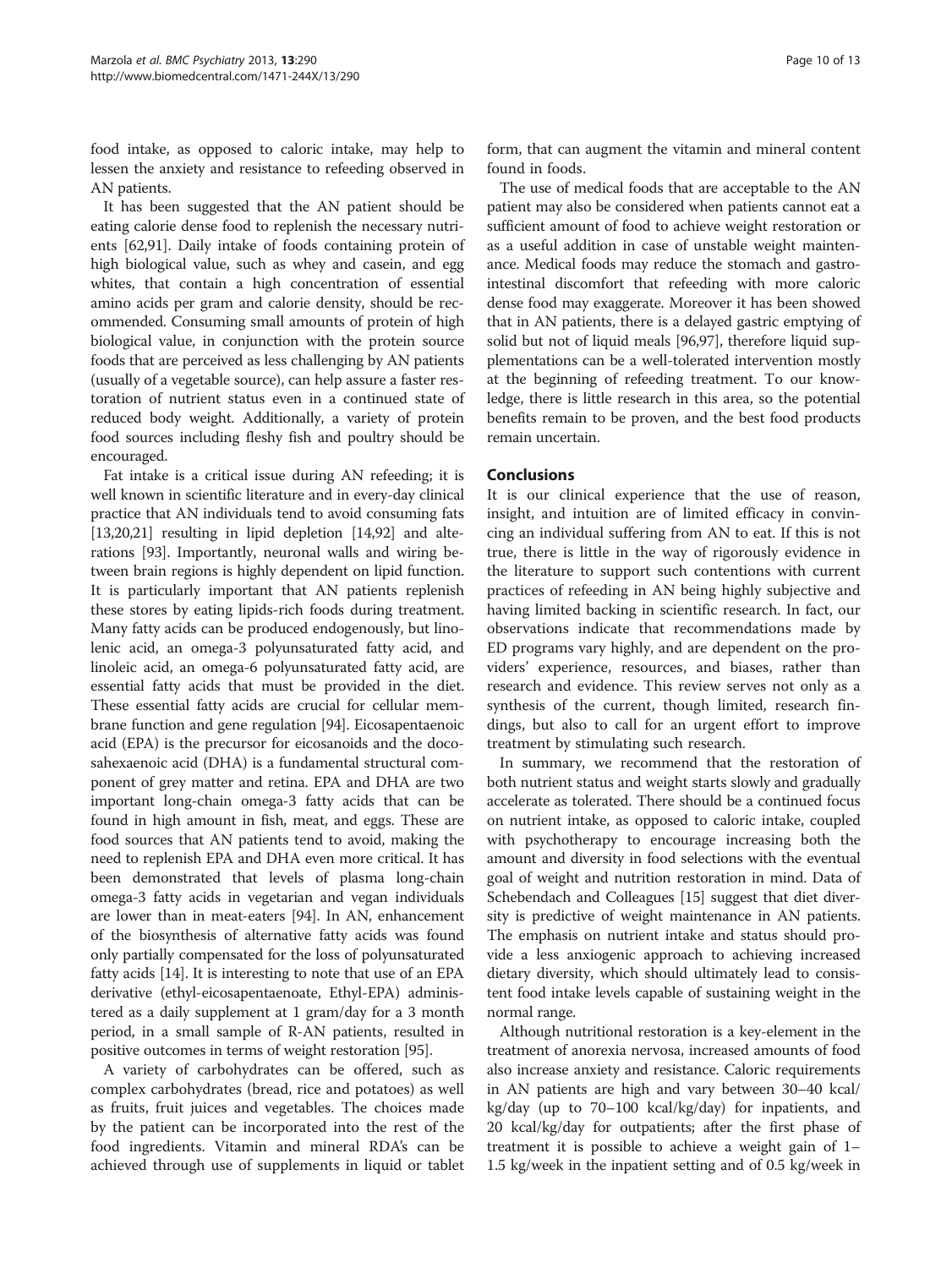food intake, as opposed to caloric intake, may help to lessen the anxiety and resistance to refeeding observed in AN patients.

It has been suggested that the AN patient should be eating calorie dense food to replenish the necessary nutrients [[62](#page-11-0)[,91\]](#page-12-0). Daily intake of foods containing protein of high biological value, such as whey and casein, and egg whites, that contain a high concentration of essential amino acids per gram and calorie density, should be recommended. Consuming small amounts of protein of high biological value, in conjunction with the protein source foods that are perceived as less challenging by AN patients (usually of a vegetable source), can help assure a faster restoration of nutrient status even in a continued state of reduced body weight. Additionally, a variety of protein food sources including fleshy fish and poultry should be encouraged.

Fat intake is a critical issue during AN refeeding; it is well known in scientific literature and in every-day clinical practice that AN individuals tend to avoid consuming fats [[13,20,21\]](#page-10-0) resulting in lipid depletion [\[14,](#page-10-0)[92](#page-12-0)] and alterations [[93](#page-12-0)]. Importantly, neuronal walls and wiring between brain regions is highly dependent on lipid function. It is particularly important that AN patients replenish these stores by eating lipids-rich foods during treatment. Many fatty acids can be produced endogenously, but linolenic acid, an omega-3 polyunsaturated fatty acid, and linoleic acid, an omega-6 polyunsaturated fatty acid, are essential fatty acids that must be provided in the diet. These essential fatty acids are crucial for cellular membrane function and gene regulation [\[94\]](#page-12-0). Eicosapentaenoic acid (EPA) is the precursor for eicosanoids and the docosahexaenoic acid (DHA) is a fundamental structural component of grey matter and retina. EPA and DHA are two important long-chain omega-3 fatty acids that can be found in high amount in fish, meat, and eggs. These are food sources that AN patients tend to avoid, making the need to replenish EPA and DHA even more critical. It has been demonstrated that levels of plasma long-chain omega-3 fatty acids in vegetarian and vegan individuals are lower than in meat-eaters [\[94](#page-12-0)]. In AN, enhancement of the biosynthesis of alternative fatty acids was found only partially compensated for the loss of polyunsaturated fatty acids [\[14\]](#page-10-0). It is interesting to note that use of an EPA derivative (ethyl-eicosapentaenoate, Ethyl-EPA) administered as a daily supplement at 1 gram/day for a 3 month period, in a small sample of R-AN patients, resulted in positive outcomes in terms of weight restoration [\[95\]](#page-12-0).

A variety of carbohydrates can be offered, such as complex carbohydrates (bread, rice and potatoes) as well as fruits, fruit juices and vegetables. The choices made by the patient can be incorporated into the rest of the food ingredients. Vitamin and mineral RDA's can be achieved through use of supplements in liquid or tablet form, that can augment the vitamin and mineral content found in foods.

The use of medical foods that are acceptable to the AN patient may also be considered when patients cannot eat a sufficient amount of food to achieve weight restoration or as a useful addition in case of unstable weight maintenance. Medical foods may reduce the stomach and gastrointestinal discomfort that refeeding with more caloric dense food may exaggerate. Moreover it has been showed that in AN patients, there is a delayed gastric emptying of solid but not of liquid meals [[96,97](#page-12-0)], therefore liquid supplementations can be a well-tolerated intervention mostly at the beginning of refeeding treatment. To our knowledge, there is little research in this area, so the potential benefits remain to be proven, and the best food products remain uncertain.

# Conclusions

It is our clinical experience that the use of reason, insight, and intuition are of limited efficacy in convincing an individual suffering from AN to eat. If this is not true, there is little in the way of rigorously evidence in the literature to support such contentions with current practices of refeeding in AN being highly subjective and having limited backing in scientific research. In fact, our observations indicate that recommendations made by ED programs vary highly, and are dependent on the providers' experience, resources, and biases, rather than research and evidence. This review serves not only as a synthesis of the current, though limited, research findings, but also to call for an urgent effort to improve treatment by stimulating such research.

In summary, we recommend that the restoration of both nutrient status and weight starts slowly and gradually accelerate as tolerated. There should be a continued focus on nutrient intake, as opposed to caloric intake, coupled with psychotherapy to encourage increasing both the amount and diversity in food selections with the eventual goal of weight and nutrition restoration in mind. Data of Schebendach and Colleagues [[15](#page-10-0)] suggest that diet diversity is predictive of weight maintenance in AN patients. The emphasis on nutrient intake and status should provide a less anxiogenic approach to achieving increased dietary diversity, which should ultimately lead to consistent food intake levels capable of sustaining weight in the normal range.

Although nutritional restoration is a key-element in the treatment of anorexia nervosa, increased amounts of food also increase anxiety and resistance. Caloric requirements in AN patients are high and vary between 30–40 kcal/ kg/day (up to 70–100 kcal/kg/day) for inpatients, and 20 kcal/kg/day for outpatients; after the first phase of treatment it is possible to achieve a weight gain of 1– 1.5 kg/week in the inpatient setting and of 0.5 kg/week in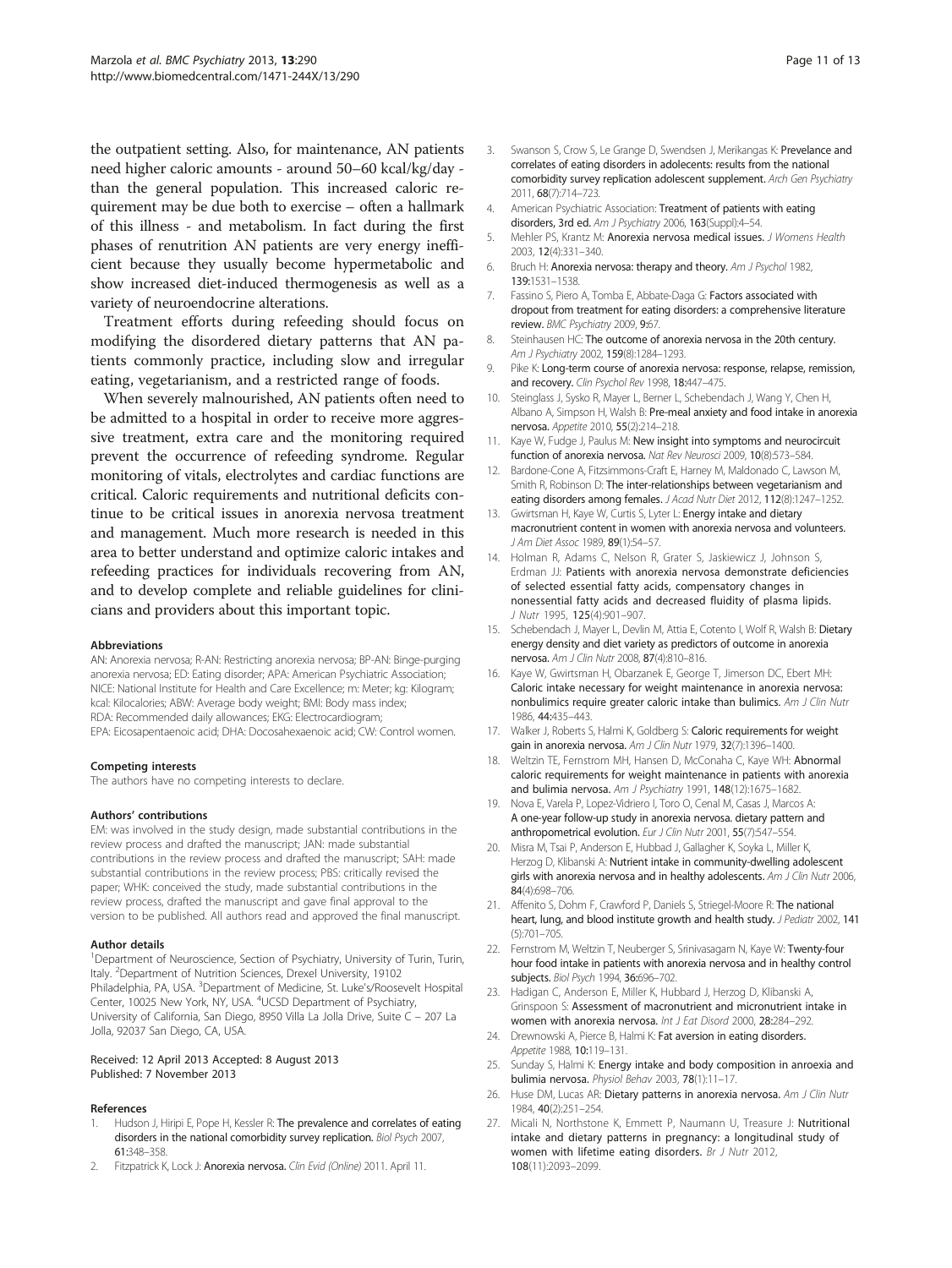<span id="page-10-0"></span>the outpatient setting. Also, for maintenance, AN patients need higher caloric amounts - around 50–60 kcal/kg/day than the general population. This increased caloric requirement may be due both to exercise – often a hallmark of this illness - and metabolism. In fact during the first phases of renutrition AN patients are very energy inefficient because they usually become hypermetabolic and show increased diet-induced thermogenesis as well as a variety of neuroendocrine alterations.

Treatment efforts during refeeding should focus on modifying the disordered dietary patterns that AN patients commonly practice, including slow and irregular eating, vegetarianism, and a restricted range of foods.

When severely malnourished, AN patients often need to be admitted to a hospital in order to receive more aggressive treatment, extra care and the monitoring required prevent the occurrence of refeeding syndrome. Regular monitoring of vitals, electrolytes and cardiac functions are critical. Caloric requirements and nutritional deficits continue to be critical issues in anorexia nervosa treatment and management. Much more research is needed in this area to better understand and optimize caloric intakes and refeeding practices for individuals recovering from AN, and to develop complete and reliable guidelines for clinicians and providers about this important topic.

#### Abbreviations

AN: Anorexia nervosa; R-AN: Restricting anorexia nervosa; BP-AN: Binge-purging anorexia nervosa; ED: Eating disorder; APA: American Psychiatric Association; NICE: National Institute for Health and Care Excellence; m: Meter; kg: Kilogram; kcal: Kilocalories; ABW: Average body weight; BMI: Body mass index; RDA: Recommended daily allowances; EKG: Electrocardiogram; EPA: Eicosapentaenoic acid; DHA: Docosahexaenoic acid; CW: Control women.

#### Competing interests

The authors have no competing interests to declare.

#### Authors' contributions

EM: was involved in the study design, made substantial contributions in the review process and drafted the manuscript; JAN: made substantial contributions in the review process and drafted the manuscript; SAH: made substantial contributions in the review process; PBS: critically revised the paper; WHK: conceived the study, made substantial contributions in the review process, drafted the manuscript and gave final approval to the version to be published. All authors read and approved the final manuscript.

#### Author details

<sup>1</sup>Department of Neuroscience, Section of Psychiatry, University of Turin, Turin, Italy. <sup>2</sup>Department of Nutrition Sciences, Drexel University, 19102 Philadelphia, PA, USA. <sup>3</sup>Department of Medicine, St. Luke's/Roosevelt Hospital Center, 10025 New York, NY, USA. <sup>4</sup>UCSD Department of Psychiatry, University of California, San Diego, 8950 Villa La Jolla Drive, Suite C – 207 La Jolla, 92037 San Diego, CA, USA.

#### Received: 12 April 2013 Accepted: 8 August 2013 Published: 7 November 2013

#### References

- Hudson J, Hiripi E, Pope H, Kessler R: The prevalence and correlates of eating disorders in the national comorbidity survey replication. Biol Psych 2007, 61:348–358.
- Fitzpatrick K, Lock J: Anorexia nervosa. Clin Evid (Online) 2011. April 11.
- 3. Swanson S, Crow S, Le Grange D, Swendsen J, Merikangas K: Prevelance and correlates of eating disorders in adolecents: results from the national comorbidity survey replication adolescent supplement. Arch Gen Psychiatry 2011, 68(7):714–723.
- 4. American Psychiatric Association: Treatment of patients with eating disorders, 3rd ed. Am J Psychiatry 2006, 163(Suppl):4-54.
- 5. Mehler PS, Krantz M: Anorexia nervosa medical issues. J Womens Health 2003, 12(4):331–340.
- 6. Bruch H: Anorexia nervosa: therapy and theory. Am J Psychol 1982, 139:1531–1538.
- 7. Fassino S, Piero A, Tomba E, Abbate-Daga G: Factors associated with dropout from treatment for eating disorders: a comprehensive literature review. BMC Psychiatry 2009, 9:67.
- 8. Steinhausen HC: The outcome of anorexia nervosa in the 20th century. Am J Psychiatry 2002, 159(8):1284-1293.
- 9. Pike K: Long-term course of anorexia nervosa: response, relapse, remission, and recovery. Clin Psychol Rev 1998, 18:447-475.
- 10. Steinglass J, Sysko R, Mayer L, Berner L, Schebendach J, Wang Y, Chen H, Albano A, Simpson H, Walsh B: Pre-meal anxiety and food intake in anorexia nervosa. Appetite 2010, 55(2):214–218.
- 11. Kaye W, Fudge J, Paulus M: New insight into symptoms and neurocircuit function of anorexia nervosa. Nat Rev Neurosci 2009, 10(8):573-584
- 12. Bardone-Cone A, Fitzsimmons-Craft E, Harney M, Maldonado C, Lawson M, Smith R, Robinson D: The inter-relationships between vegetarianism and eating disorders among females. J Acad Nutr Diet 2012, 112(8):1247-1252.
- 13. Gwirtsman H, Kaye W, Curtis S, Lyter L: Energy intake and dietary macronutrient content in women with anorexia nervosa and volunteers. J Am Diet Assoc 1989, 89(1):54–57.
- 14. Holman R, Adams C, Nelson R, Grater S, Jaskiewicz J, Johnson S, Erdman JJ: Patients with anorexia nervosa demonstrate deficiencies of selected essential fatty acids, compensatory changes in nonessential fatty acids and decreased fluidity of plasma lipids. J Nutr 1995, 125(4):901–907.
- 15. Schebendach J, Mayer L, Devlin M, Attia E, Cotento I, Wolf R, Walsh B: Dietary energy density and diet variety as predictors of outcome in anorexia nervosa. Am J Clin Nutr 2008, 87(4):810–816.
- 16. Kaye W, Gwirtsman H, Obarzanek E, George T, Jimerson DC, Ebert MH: Caloric intake necessary for weight maintenance in anorexia nervosa: nonbulimics require greater caloric intake than bulimics. Am J Clin Nutr 1986, 44:435–443.
- 17. Walker J, Roberts S, Halmi K, Goldberg S: Caloric requirements for weight gain in anorexia nervosa. Am J Clin Nutr 1979, 32(7):1396-1400.
- 18. Weltzin TE, Fernstrom MH, Hansen D, McConaha C, Kaye WH: Abnormal caloric requirements for weight maintenance in patients with anorexia and bulimia nervosa. Am J Psychiatry 1991, 148(12):1675-1682.
- 19. Nova E, Varela P, Lopez-Vidriero I, Toro O, Cenal M, Casas J, Marcos A: A one-year follow-up study in anorexia nervosa. dietary pattern and anthropometrical evolution. Eur J Clin Nutr 2001, 55(7):547–554.
- 20. Misra M, Tsai P, Anderson E, Hubbad J, Gallagher K, Soyka L, Miller K, Herzog D, Klibanski A: Nutrient intake in community-dwelling adolescent girls with anorexia nervosa and in healthy adolescents. Am J Clin Nutr 2006, 84(4):698–706.
- 21. Affenito S, Dohm F, Crawford P, Daniels S, Striegel-Moore R: The national heart, lung, and blood institute growth and health study. J Pediatr 2002, 141 (5):701–705.
- 22. Fernstrom M, Weltzin T, Neuberger S, Srinivasagam N, Kaye W: Twenty-four hour food intake in patients with anorexia nervosa and in healthy control subjects. Biol Psych 1994, 36:696–702.
- 23. Hadigan C, Anderson E, Miller K, Hubbard J, Herzog D, Klibanski A, Grinspoon S: Assessment of macronutrient and micronutrient intake in women with anorexia nervosa. Int J Eat Disord 2000, 28:284–292.
- 24. Drewnowski A, Pierce B, Halmi K: Fat aversion in eating disorders. Appetite 1988, 10:119-131.
- 25. Sunday S, Halmi K: Energy intake and body composition in anroexia and bulimia nervosa. Physiol Behav 2003, 78(1):11–17.
- 26. Huse DM, Lucas AR: Dietary patterns in anorexia nervosa. Am J Clin Nutr 1984, 40(2):251–254.
- 27. Micali N, Northstone K, Emmett P, Naumann U, Treasure J: Nutritional intake and dietary patterns in pregnancy: a longitudinal study of women with lifetime eating disorders. Br J Nutr 2012, 108(11):2093–2099.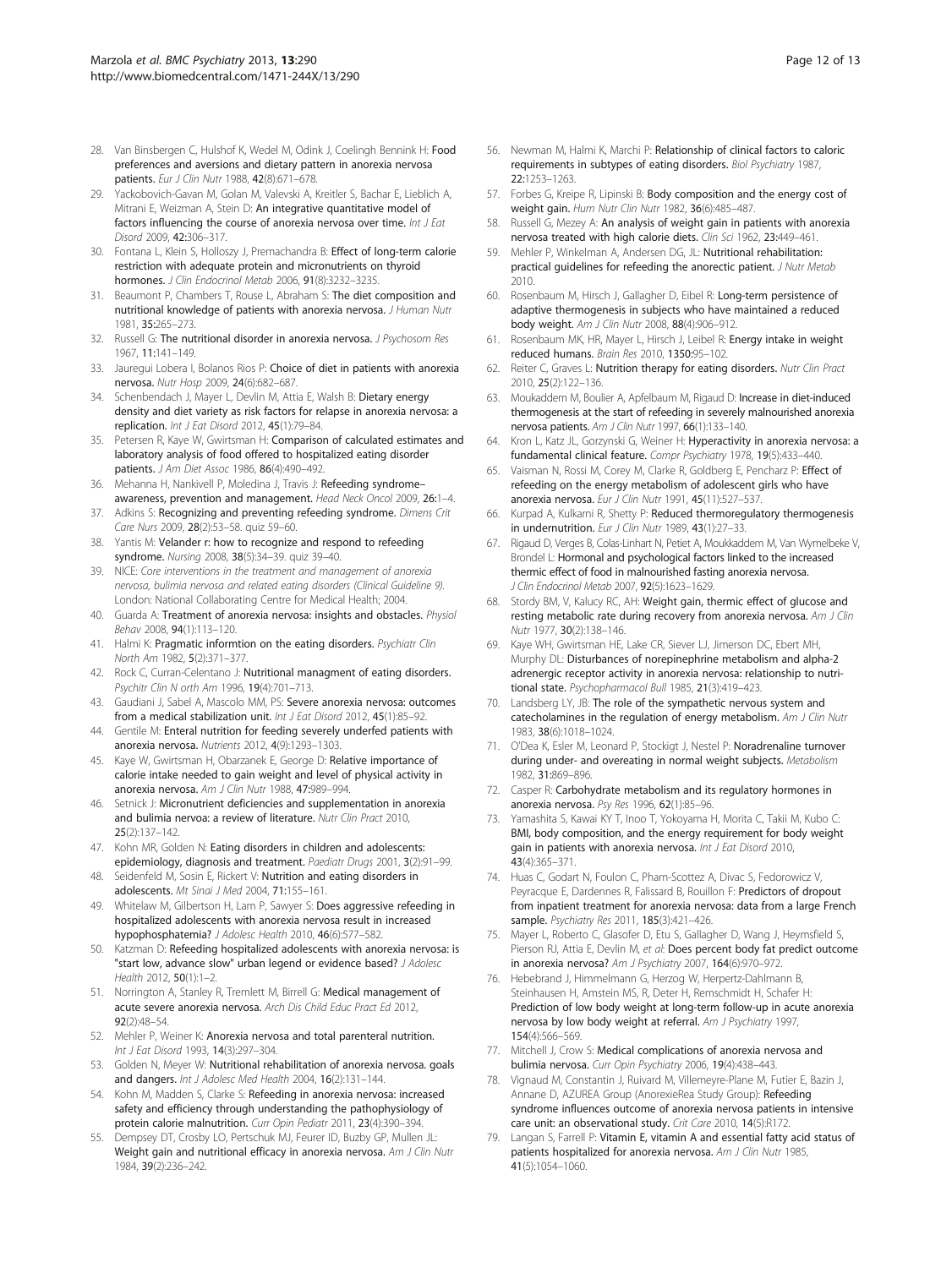- <span id="page-11-0"></span>28. Van Binsbergen C, Hulshof K, Wedel M, Odink J, Coelingh Bennink H: Food preferences and aversions and dietary pattern in anorexia nervosa patients. Eur J Clin Nutr 1988, 42(8):671–678.
- 29. Yackobovich-Gavan M, Golan M, Valevski A, Kreitler S, Bachar E, Lieblich A, Mitrani E, Weizman A, Stein D: An integrative quantitative model of factors influencing the course of anorexia nervosa over time. Int J Eat Disord 2009, 42:306–317.
- 30. Fontana L, Klein S, Holloszy J, Premachandra B: Effect of long-term calorie restriction with adequate protein and micronutrients on thyroid hormones. J Clin Endocrinol Metab 2006, 91(8):3232-3235.
- 31. Beaumont P, Chambers T, Rouse L, Abraham S: The diet composition and nutritional knowledge of patients with anorexia nervosa. *J Human Nutr* 1981, 35:265–273.
- 32. Russell G: The nutritional disorder in anorexia nervosa. J Psychosom Res 1967, 11:141–149.
- 33. Jauregui Lobera I, Bolanos Rios P: Choice of diet in patients with anorexia nervosa. Nutr Hosp 2009, 24(6):682–687.
- 34. Schenbendach J, Mayer L, Devlin M, Attia E, Walsh B: Dietary energy density and diet variety as risk factors for relapse in anorexia nervosa: a replication. Int J Eat Disord 2012, 45(1):79–84.
- 35. Petersen R, Kaye W, Gwirtsman H: Comparison of calculated estimates and laboratory analysis of food offered to hospitalized eating disorder patients. J Am Diet Assoc 1986, 86(4):490–492.
- 36. Mehanna H, Nankivell P, Moledina J, Travis J: Refeeding syndromeawareness, prevention and management. Head Neck Oncol 2009, 26:1–4.
- 37. Adkins S: Recognizing and preventing refeeding syndrome. Dimens Crit Care Nurs 2009, 28(2):53–58. quiz 59–60.
- 38. Yantis M: Velander r: how to recognize and respond to refeeding syndrome. Nursing 2008, 38(5):34–39. quiz 39–40.
- 39. NICE: Core interventions in the treatment and management of anorexia nervosa, bulimia nervosa and related eating disorders (Clinical Guideline 9). London: National Collaborating Centre for Medical Health; 2004.
- 40. Guarda A: Treatment of anorexia nervosa: insights and obstacles. *Physiol* Behav 2008, 94(1):113–120.
- 41. Halmi K: Pragmatic informtion on the eating disorders. Psychiatr Clin North Am 1982, 5(2):371–377.
- 42. Rock C, Curran-Celentano J: Nutritional managment of eating disorders. Psychitr Clin N orth Am 1996, 19(4):701–713.
- 43. Gaudiani J, Sabel A, Mascolo MM, PS: Severe anorexia nervosa: outcomes from a medical stabilization unit. Int J Eat Disord 2012, 45(1):85-92.
- 44. Gentile M: Enteral nutrition for feeding severely underfed patients with anorexia nervosa. Nutrients 2012, 4(9):1293–1303.
- 45. Kaye W, Gwirtsman H, Obarzanek E, George D: Relative importance of calorie intake needed to gain weight and level of physical activity in anorexia nervosa. Am J Clin Nutr 1988, 47:989–994.
- 46. Setnick J: Micronutrient deficiencies and supplementation in anorexia and bulimia nervoa: a review of literature. Nutr Clin Pract 2010, 25(2):137–142.
- 47. Kohn MR, Golden N: Eating disorders in children and adolescents: epidemiology, diagnosis and treatment. Paediatr Drugs 2001, 3(2):91–99.
- 48. Seidenfeld M, Sosin E, Rickert V: Nutrition and eating disorders in adolescents. Mt Sinai J Med 2004, 71:155–161.
- 49. Whitelaw M, Gilbertson H, Lam P, Sawyer S: Does aggressive refeeding in hospitalized adolescents with anorexia nervosa result in increased hypophosphatemia? J Adolesc Health 2010, 46(6):577–582.
- 50. Katzman D: Refeeding hospitalized adolescents with anorexia nervosa: is "start low, advance slow" urban legend or evidence based? J Adolesc Health 2012, 50(1):1–2.
- 51. Norrington A, Stanley R, Tremlett M, Birrell G: Medical management of acute severe anorexia nervosa. Arch Dis Child Educ Pract Ed 2012, 92(2):48–54.
- 52. Mehler P, Weiner K: Anorexia nervosa and total parenteral nutrition. Int J Eat Disord 1993, 14(3):297–304.
- 53. Golden N, Meyer W: Nutritional rehabilitation of anorexia nervosa. goals and dangers. Int J Adolesc Med Health 2004, 16(2):131–144.
- 54. Kohn M, Madden S, Clarke S: Refeeding in anorexia nervosa: increased safety and efficiency through understanding the pathophysiology of protein calorie malnutrition. Curr Opin Pediatr 2011, 23(4):390-394.
- 55. Dempsey DT, Crosby LO, Pertschuk MJ, Feurer ID, Buzby GP, Mullen JL: Weight gain and nutritional efficacy in anorexia nervosa. Am J Clin Nutr 1984, 39(2):236–242.
- 56. Newman M, Halmi K, Marchi P: Relationship of clinical factors to caloric requirements in subtypes of eating disorders. Biol Psychiatry 1987, 22:1253–1263.
- 57. Forbes G, Kreipe R, Lipinski B: Body composition and the energy cost of weight gain. Hum Nutr Clin Nutr 1982, 36(6):485–487.
- 58. Russell G, Mezey A: An analysis of weight gain in patients with anorexia nervosa treated with high calorie diets. Clin Sci 1962, 23:449–461.
- 59. Mehler P, Winkelman A, Andersen DG, JL: Nutritional rehabilitation: practical guidelines for refeeding the anorectic patient. J Nutr Metab 2010.
- 60. Rosenbaum M, Hirsch J, Gallagher D, Eibel R: Long-term persistence of adaptive thermogenesis in subjects who have maintained a reduced body weight. Am J Clin Nutr 2008, 88(4):906–912.
- 61. Rosenbaum MK, HR, Mayer L, Hirsch J, Leibel R: Energy intake in weight reduced humans. Brain Res 2010, 1350:95–102.
- 62. Reiter C, Graves L: Nutrition therapy for eating disorders. Nutr Clin Pract 2010, 25(2):122–136.
- 63. Moukaddem M, Boulier A, Apfelbaum M, Rigaud D: Increase in diet-induced thermogenesis at the start of refeeding in severely malnourished anorexia nervosa patients. Am J Clin Nutr 1997, 66(1):133–140.
- 64. Kron L, Katz JL, Gorzynski G, Weiner H: Hyperactivity in anorexia nervosa: a fundamental clinical feature. Compr Psychiatry 1978, 19(5):433–440.
- 65. Vaisman N, Rossi M, Corey M, Clarke R, Goldberg E, Pencharz P: Effect of refeeding on the energy metabolism of adolescent girls who have anorexia nervosa. Eur J Clin Nutr 1991, 45(11):527–537.
- Kurpad A, Kulkarni R, Shetty P: Reduced thermoregulatory thermogenesis in undernutrition. Eur J Clin Nutr 1989, 43(1):27-33.
- 67. Rigaud D, Verges B, Colas-Linhart N, Petiet A, Moukkaddem M, Van Wymelbeke V, Brondel L: Hormonal and psychological factors linked to the increased thermic effect of food in malnourished fasting anorexia nervosa. J Clin Endocrinol Metab 2007, 92(5):1623–1629.
- 68. Stordy BM, V, Kalucy RC, AH: Weight gain, thermic effect of glucose and resting metabolic rate during recovery from anorexia nervosa. Am J Clin Nutr 1977, 30(2):138–146.
- 69. Kaye WH, Gwirtsman HE, Lake CR, Siever LJ, Jimerson DC, Ebert MH, Murphy DL: Disturbances of norepinephrine metabolism and alpha-2 adrenergic receptor activity in anorexia nervosa: relationship to nutritional state. Psychopharmacol Bull 1985, 21(3):419-423.
- 70. Landsberg LY, JB: The role of the sympathetic nervous system and catecholamines in the regulation of energy metabolism. Am J Clin Nutr 1983, 38(6):1018–1024.
- 71. O'Dea K, Esler M, Leonard P, Stockigt J, Nestel P: Noradrenaline turnover during under- and overeating in normal weight subjects. Metabolism 1982, 31:869–896.
- 72. Casper R: Carbohydrate metabolism and its regulatory hormones in anorexia nervosa. Psy Res 1996, 62(1):85–96.
- Yamashita S, Kawai KY T, Inoo T, Yokoyama H, Morita C, Takii M, Kubo C: BMI, body composition, and the energy requirement for body weight gain in patients with anorexia nervosa. Int J Eat Disord 2010, 43(4):365–371.
- 74. Huas C, Godart N, Foulon C, Pham-Scottez A, Divac S, Fedorowicz V, Peyracque E, Dardennes R, Falissard B, Rouillon F: Predictors of dropout from inpatient treatment for anorexia nervosa: data from a large French sample. Psychiatry Res 2011, 185(3):421-426.
- 75. Mayer L, Roberto C, Glasofer D, Etu S, Gallagher D, Wang J, Heymsfield S, Pierson RJ, Attia E, Devlin M, et al: Does percent body fat predict outcome in anorexia nervosa? Am J Psychiatry 2007, 164(6):970–972.
- 76. Hebebrand J, Himmelmann G, Herzog W, Herpertz-Dahlmann B, Steinhausen H, Amstein MS, R, Deter H, Remschmidt H, Schafer H: Prediction of low body weight at long-term follow-up in acute anorexia nervosa by low body weight at referral. Am J Psychiatry 1997, 154(4):566–569.
- 77. Mitchell J, Crow S: Medical complications of anorexia nervosa and bulimia nervosa. Curr Opin Psychiatry 2006, 19(4):438–443.
- 78. Vignaud M, Constantin J, Ruivard M, Villemeyre-Plane M, Futier E, Bazin J, Annane D, AZUREA Group (AnorexieRea Study Group): Refeeding syndrome influences outcome of anorexia nervosa patients in intensive care unit: an observational study. Crit Care 2010, 14(5):R172.
- 79. Langan S, Farrell P: Vitamin E, vitamin A and essential fatty acid status of patients hospitalized for anorexia nervosa. Am J Clin Nutr 1985, 41(5):1054–1060.